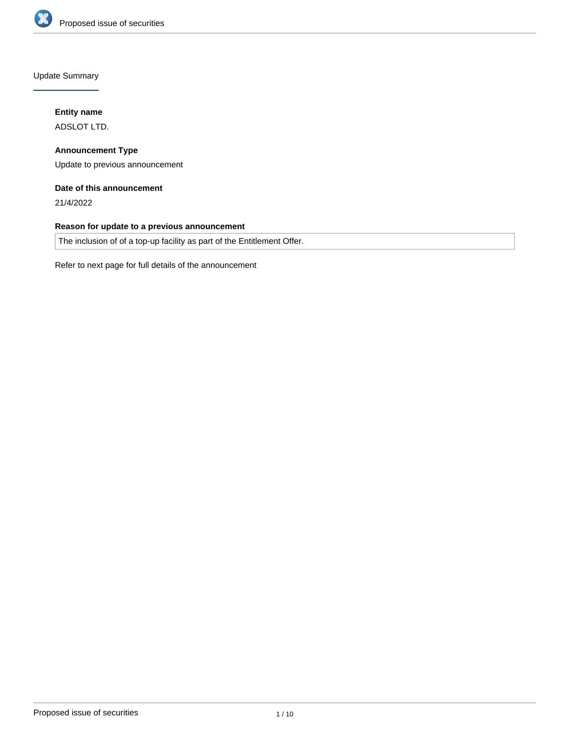

Update Summary

### **Entity name**

ADSLOT LTD.

**Announcement Type** Update to previous announcement

### **Date of this announcement**

21/4/2022

### **Reason for update to a previous announcement**

The inclusion of of a top-up facility as part of the Entitlement Offer.

Refer to next page for full details of the announcement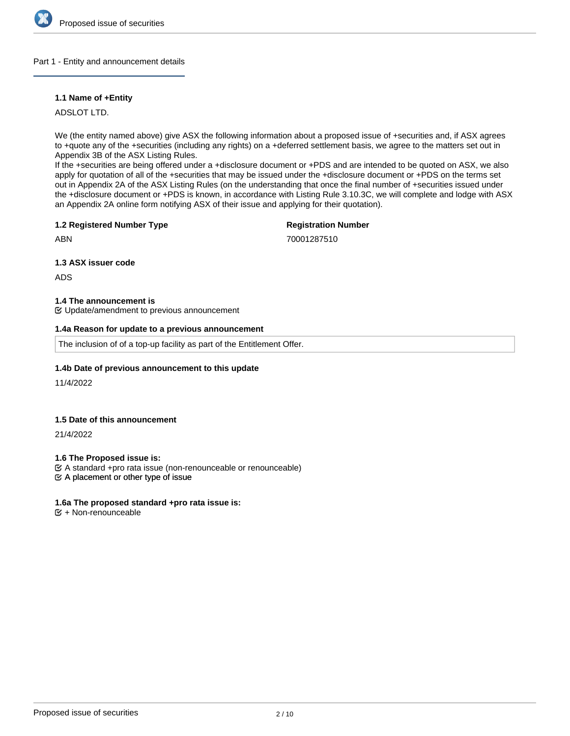

#### Part 1 - Entity and announcement details

#### **1.1 Name of +Entity**

ADSLOT LTD.

We (the entity named above) give ASX the following information about a proposed issue of +securities and, if ASX agrees to +quote any of the +securities (including any rights) on a +deferred settlement basis, we agree to the matters set out in Appendix 3B of the ASX Listing Rules.

If the +securities are being offered under a +disclosure document or +PDS and are intended to be quoted on ASX, we also apply for quotation of all of the +securities that may be issued under the +disclosure document or +PDS on the terms set out in Appendix 2A of the ASX Listing Rules (on the understanding that once the final number of +securities issued under the +disclosure document or +PDS is known, in accordance with Listing Rule 3.10.3C, we will complete and lodge with ASX an Appendix 2A online form notifying ASX of their issue and applying for their quotation).

#### **1.2 Registered Number Type**

### **Registration Number**

ABN

70001287510

**1.3 ASX issuer code**

ADS

#### **1.4 The announcement is**

Update/amendment to previous announcement

#### **1.4a Reason for update to a previous announcement**

The inclusion of of a top-up facility as part of the Entitlement Offer.

#### **1.4b Date of previous announcement to this update**

11/4/2022

#### **1.5 Date of this announcement**

21/4/2022

**1.6 The Proposed issue is:**

A standard +pro rata issue (non-renounceable or renounceable)

 $\mathfrak{C}$  A placement or other type of issue

#### **1.6a The proposed standard +pro rata issue is:**

 $E + Non-renounceable$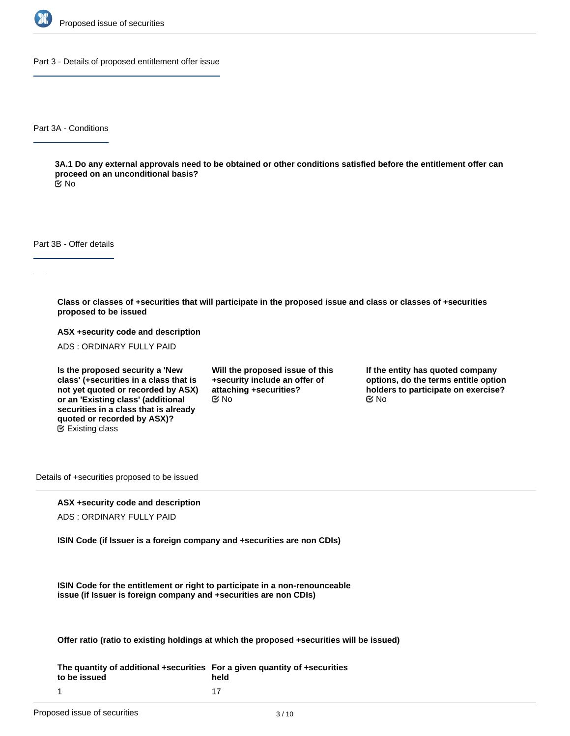

Part 3 - Details of proposed entitlement offer issue

Part 3A - Conditions

**3A.1 Do any external approvals need to be obtained or other conditions satisfied before the entitlement offer can proceed on an unconditional basis?**

No

Part 3B - Offer details

**Class or classes of +securities that will participate in the proposed issue and class or classes of +securities proposed to be issued**

**ASX +security code and description**

ADS : ORDINARY FULLY PAID

**Is the proposed security a 'New class' (+securities in a class that is not yet quoted or recorded by ASX) or an 'Existing class' (additional securities in a class that is already quoted or recorded by ASX)?** Existing class

**Will the proposed issue of this +security include an offer of attaching +securities?**  $\mathfrak{S}$  No  $\mathfrak{S}$  No  $\mathfrak{S}$  No

**If the entity has quoted company options, do the terms entitle option holders to participate on exercise?**

Details of +securities proposed to be issued

#### **ASX +security code and description**

ADS : ORDINARY FULLY PAID

**ISIN Code (if Issuer is a foreign company and +securities are non CDIs)**

**ISIN Code for the entitlement or right to participate in a non-renounceable issue (if Issuer is foreign company and +securities are non CDIs)**

**Offer ratio (ratio to existing holdings at which the proposed +securities will be issued)**

**The quantity of additional +securities For a given quantity of +securities to be issued** 1 **held** 17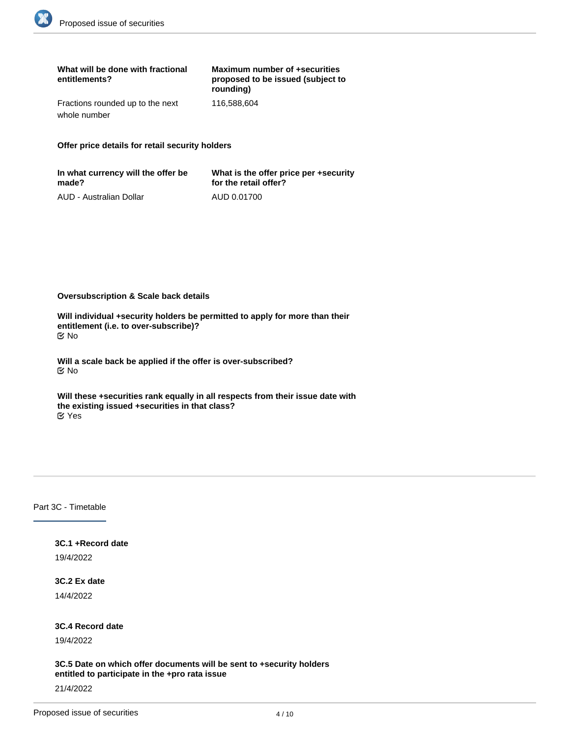| What will be done with fractional<br>entitlements? | Maximum number of +securities<br>proposed to be issued (subject to<br>rounding) |
|----------------------------------------------------|---------------------------------------------------------------------------------|
| Fractions rounded up to the next<br>whole number   | 116.588.604                                                                     |

**Offer price details for retail security holders**

| In what currency will the offer be | What is the offer price per +security |
|------------------------------------|---------------------------------------|
| made?                              | for the retail offer?                 |
| AUD - Australian Dollar            | AUD 0.01700                           |

**Oversubscription & Scale back details**

**Will individual +security holders be permitted to apply for more than their entitlement (i.e. to over-subscribe)?** No

**Will a scale back be applied if the offer is over-subscribed?** No

**Will these +securities rank equally in all respects from their issue date with the existing issued +securities in that class?** Yes

### Part 3C - Timetable

# **3C.1 +Record date**

19/4/2022

#### **3C.2 Ex date**

14/4/2022

#### **3C.4 Record date**

19/4/2022

**3C.5 Date on which offer documents will be sent to +security holders entitled to participate in the +pro rata issue**

21/4/2022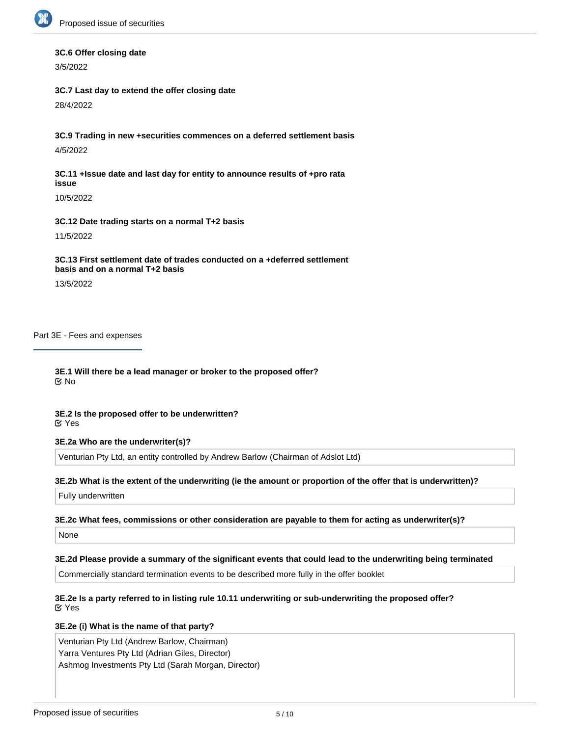

#### **3C.6 Offer closing date**

3/5/2022

#### **3C.7 Last day to extend the offer closing date**

28/4/2022

**3C.9 Trading in new +securities commences on a deferred settlement basis** 4/5/2022

**3C.11 +Issue date and last day for entity to announce results of +pro rata issue**

10/5/2022

#### **3C.12 Date trading starts on a normal T+2 basis**

11/5/2022

### **3C.13 First settlement date of trades conducted on a +deferred settlement basis and on a normal T+2 basis**

13/5/2022

Part 3E - Fees and expenses

**3E.1 Will there be a lead manager or broker to the proposed offer?** No

#### **3E.2 Is the proposed offer to be underwritten?** Yes

#### **3E.2a Who are the underwriter(s)?**

Venturian Pty Ltd, an entity controlled by Andrew Barlow (Chairman of Adslot Ltd)

#### **3E.2b What is the extent of the underwriting (ie the amount or proportion of the offer that is underwritten)?**

Fully underwritten

#### **3E.2c What fees, commissions or other consideration are payable to them for acting as underwriter(s)?**

None

# **3E.2d Please provide a summary of the significant events that could lead to the underwriting being terminated**

Commercially standard termination events to be described more fully in the offer booklet

## **3E.2e Is a party referred to in listing rule 10.11 underwriting or sub-underwriting the proposed offer?** Yes

# **3E.2e (i) What is the name of that party?**

Venturian Pty Ltd (Andrew Barlow, Chairman) Yarra Ventures Pty Ltd (Adrian Giles, Director) Ashmog Investments Pty Ltd (Sarah Morgan, Director)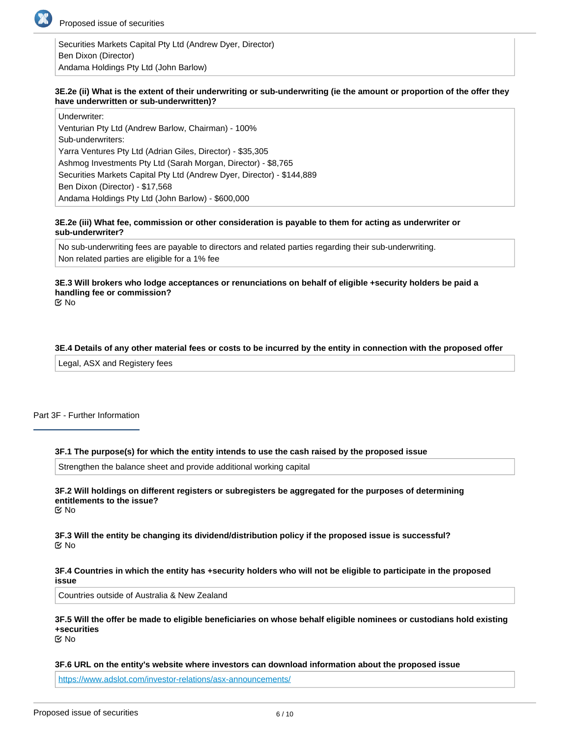

Securities Markets Capital Pty Ltd (Andrew Dyer, Director) Ben Dixon (Director) Andama Holdings Pty Ltd (John Barlow)

#### **3E.2e (ii) What is the extent of their underwriting or sub-underwriting (ie the amount or proportion of the offer they have underwritten or sub-underwritten)?**

Underwriter: Venturian Pty Ltd (Andrew Barlow, Chairman) - 100% Sub-underwriters: Yarra Ventures Pty Ltd (Adrian Giles, Director) - \$35,305 Ashmog Investments Pty Ltd (Sarah Morgan, Director) - \$8,765 Securities Markets Capital Pty Ltd (Andrew Dyer, Director) - \$144,889 Ben Dixon (Director) - \$17,568 Andama Holdings Pty Ltd (John Barlow) - \$600,000

#### **3E.2e (iii) What fee, commission or other consideration is payable to them for acting as underwriter or sub-underwriter?**

No sub-underwriting fees are payable to directors and related parties regarding their sub-underwriting. Non related parties are eligible for a 1% fee

## **3E.3 Will brokers who lodge acceptances or renunciations on behalf of eligible +security holders be paid a handling fee or commission?**

No

### **3E.4 Details of any other material fees or costs to be incurred by the entity in connection with the proposed offer**

Legal, ASX and Registery fees

### Part 3F - Further Information

#### **3F.1 The purpose(s) for which the entity intends to use the cash raised by the proposed issue**

Strengthen the balance sheet and provide additional working capital

**3F.2 Will holdings on different registers or subregisters be aggregated for the purposes of determining entitlements to the issue?** No

**3F.3 Will the entity be changing its dividend/distribution policy if the proposed issue is successful?** No

#### **3F.4 Countries in which the entity has +security holders who will not be eligible to participate in the proposed issue**

Countries outside of Australia & New Zealand

#### **3F.5 Will the offer be made to eligible beneficiaries on whose behalf eligible nominees or custodians hold existing +securities** No

**3F.6 URL on the entity's website where investors can download information about the proposed issue**

<https://www.adslot.com/investor-relations/asx-announcements/>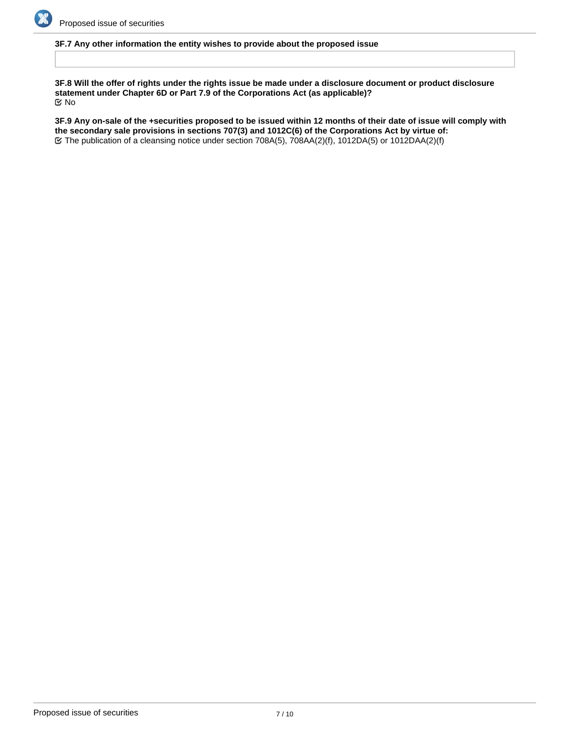

## **3F.7 Any other information the entity wishes to provide about the proposed issue**

**3F.8 Will the offer of rights under the rights issue be made under a disclosure document or product disclosure statement under Chapter 6D or Part 7.9 of the Corporations Act (as applicable)?** No

**3F.9 Any on-sale of the +securities proposed to be issued within 12 months of their date of issue will comply with the secondary sale provisions in sections 707(3) and 1012C(6) of the Corporations Act by virtue of:** The publication of a cleansing notice under section 708A(5), 708AA(2)(f), 1012DA(5) or 1012DAA(2)(f)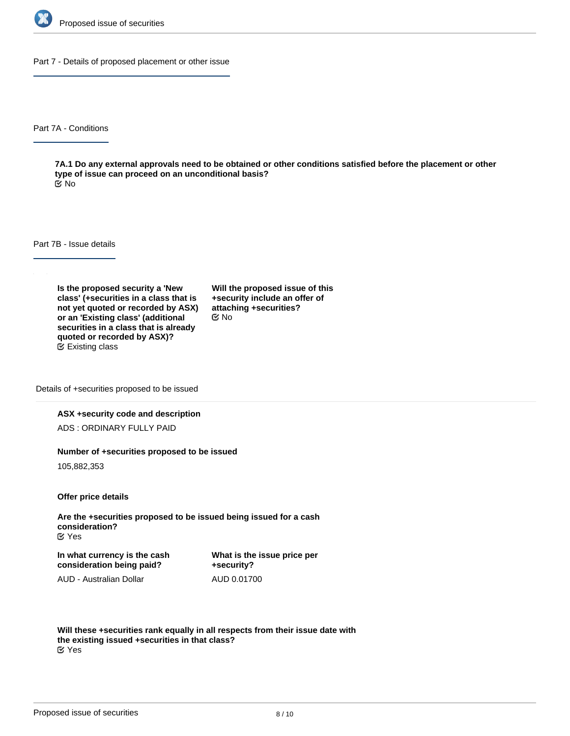

Part 7 - Details of proposed placement or other issue

Part 7A - Conditions

**7A.1 Do any external approvals need to be obtained or other conditions satisfied before the placement or other type of issue can proceed on an unconditional basis?** No

Part 7B - Issue details

**Is the proposed security a 'New class' (+securities in a class that is not yet quoted or recorded by ASX) or an 'Existing class' (additional securities in a class that is already quoted or recorded by ASX)?** Existing class

**Will the proposed issue of this +security include an offer of attaching +securities?** No

Details of +securities proposed to be issued

#### **ASX +security code and description**

ADS : ORDINARY FULLY PAID

#### **Number of +securities proposed to be issued**

105,882,353

**Offer price details**

**Are the +securities proposed to be issued being issued for a cash consideration?** Yes

**In what currency is the cash consideration being paid?**

**What is the issue price per +security?** AUD 0.01700

AUD - Australian Dollar

**Will these +securities rank equally in all respects from their issue date with the existing issued +securities in that class?** Yes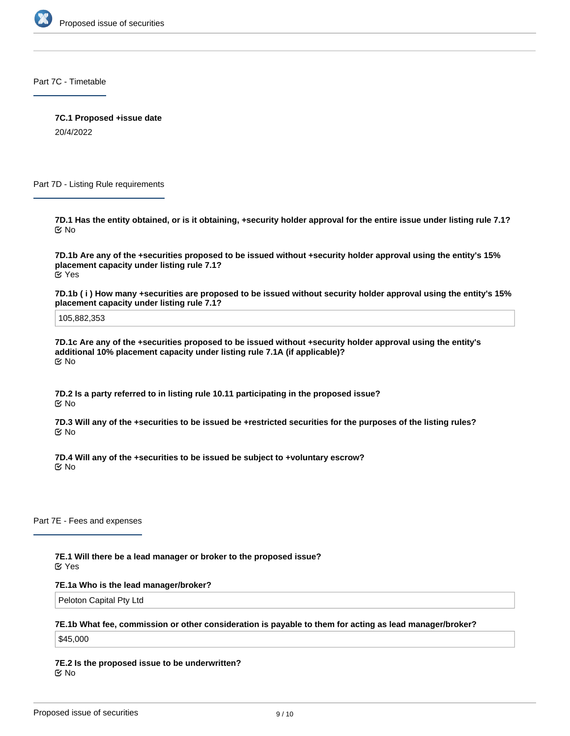

Part 7C - Timetable

**7C.1 Proposed +issue date**

20/4/2022

Part 7D - Listing Rule requirements

**7D.1 Has the entity obtained, or is it obtaining, +security holder approval for the entire issue under listing rule 7.1?** No

**7D.1b Are any of the +securities proposed to be issued without +security holder approval using the entity's 15% placement capacity under listing rule 7.1?** Yes

**7D.1b ( i ) How many +securities are proposed to be issued without security holder approval using the entity's 15% placement capacity under listing rule 7.1?**

105,882,353

**7D.1c Are any of the +securities proposed to be issued without +security holder approval using the entity's additional 10% placement capacity under listing rule 7.1A (if applicable)?** No

**7D.2 Is a party referred to in listing rule 10.11 participating in the proposed issue?** No

**7D.3 Will any of the +securities to be issued be +restricted securities for the purposes of the listing rules?** No

**7D.4 Will any of the +securities to be issued be subject to +voluntary escrow?** No

Part 7E - Fees and expenses

**7E.1 Will there be a lead manager or broker to the proposed issue?** Yes

**7E.1a Who is the lead manager/broker?**

Peloton Capital Pty Ltd

#### **7E.1b What fee, commission or other consideration is payable to them for acting as lead manager/broker?**

\$45,000

**7E.2 Is the proposed issue to be underwritten?** No